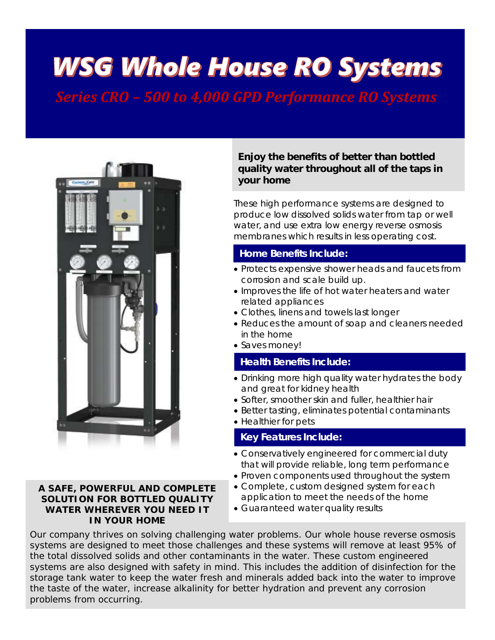# **WSG Whole House RO Systems**

*Series CRO – 500 to 4,000 GPD Performance RO Systems*



### **A SAFE, POWERFUL AND COMPLETE SOLUTION FOR BOTTLED QUALITY WATER WHEREVER YOU NEED IT IN YOUR HOME**

### **Enjoy the benefits of better than bottled quality water throughout all of the taps in your home**

These high performance systems are designed to produce low dissolved solids water from tap or well water, and use extra low energy reverse osmosis membranes which results in less operating cost.

### **Home Benefits Include:**

- Protects expensive shower heads and faucets from corrosion and scale build up.
- Improves the life of hot water heaters and water related appliances
- Clothes, linens and towels last longer
- Reduces the amount of soap and cleaners needed in the home
- Saves money!

### **Health Benefits Include:**

- Drinking more high quality water hydrates the body and great for kidney health
- Softer, smoother skin and fuller, healthier hair
- Better tasting, eliminates potential contaminants
- Healthier for pets

### **Key Features Include:**

- Conservatively engineered for commercial duty that will provide reliable, long term performance
- Proven components used throughout the system
- Complete, custom designed system for each application to meet the needs of the home
- Guaranteed water quality results

Our company thrives on solving challenging water problems. Our whole house reverse osmosis systems are designed to meet those challenges and these systems will remove at least 95% of the total dissolved solids and other contaminants in the water. These custom engineered systems are also designed with safety in mind. This includes the addition of disinfection for the storage tank water to keep the water fresh and minerals added back into the water to improve the taste of the water, increase alkalinity for better hydration and prevent any corrosion problems from occurring.